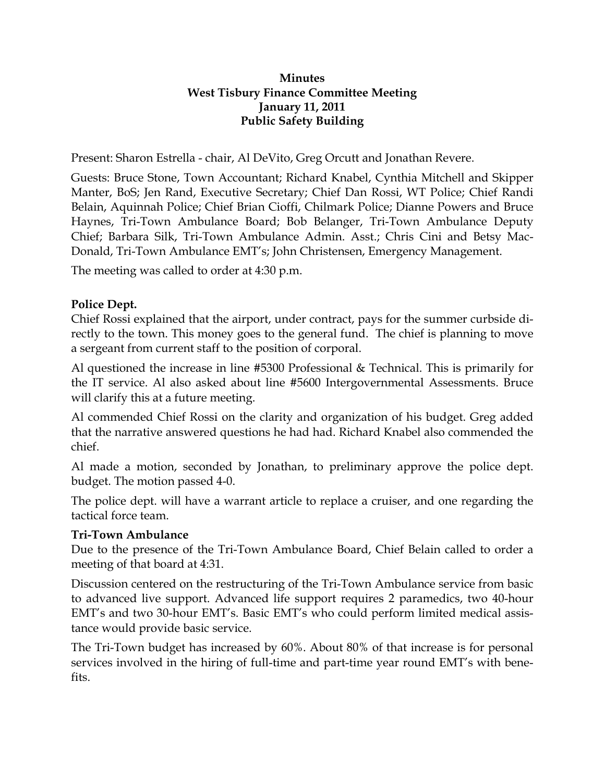# **Minutes West Tisbury Finance Committee Meeting January 11, 2011 Public Safety Building**

Present: Sharon Estrella - chair, Al DeVito, Greg Orcutt and Jonathan Revere.

Guests: Bruce Stone, Town Accountant; Richard Knabel, Cynthia Mitchell and Skipper Manter, BoS; Jen Rand, Executive Secretary; Chief Dan Rossi, WT Police; Chief Randi Belain, Aquinnah Police; Chief Brian Cioffi, Chilmark Police; Dianne Powers and Bruce Haynes, Tri-Town Ambulance Board; Bob Belanger, Tri-Town Ambulance Deputy Chief; Barbara Silk, Tri-Town Ambulance Admin. Asst.; Chris Cini and Betsy Mac-Donald, Tri-Town Ambulance EMT's; John Christensen, Emergency Management.

The meeting was called to order at 4:30 p.m.

# **Police Dept.**

Chief Rossi explained that the airport, under contract, pays for the summer curbside directly to the town. This money goes to the general fund. The chief is planning to move a sergeant from current staff to the position of corporal.

Al questioned the increase in line #5300 Professional & Technical. This is primarily for the IT service. Al also asked about line #5600 Intergovernmental Assessments. Bruce will clarify this at a future meeting.

Al commended Chief Rossi on the clarity and organization of his budget. Greg added that the narrative answered questions he had had. Richard Knabel also commended the chief.

Al made a motion, seconded by Jonathan, to preliminary approve the police dept. budget. The motion passed 4-0.

The police dept. will have a warrant article to replace a cruiser, and one regarding the tactical force team.

### **Tri-Town Ambulance**

Due to the presence of the Tri-Town Ambulance Board, Chief Belain called to order a meeting of that board at 4:31.

Discussion centered on the restructuring of the Tri-Town Ambulance service from basic to advanced live support. Advanced life support requires 2 paramedics, two 40-hour EMT's and two 30-hour EMT's. Basic EMT's who could perform limited medical assistance would provide basic service.

The Tri-Town budget has increased by 60%. About 80% of that increase is for personal services involved in the hiring of full-time and part-time year round EMT's with benefits.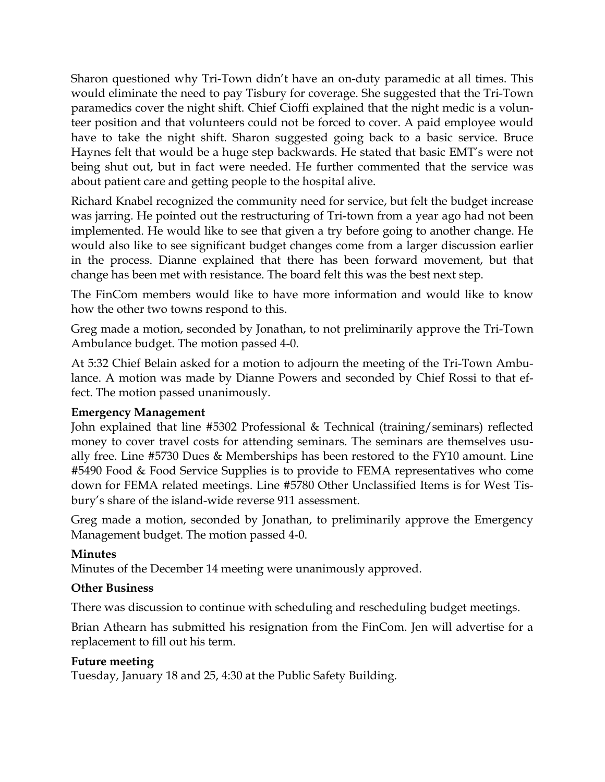Sharon questioned why Tri-Town didn't have an on-duty paramedic at all times. This would eliminate the need to pay Tisbury for coverage. She suggested that the Tri-Town paramedics cover the night shift. Chief Cioffi explained that the night medic is a volunteer position and that volunteers could not be forced to cover. A paid employee would have to take the night shift. Sharon suggested going back to a basic service. Bruce Haynes felt that would be a huge step backwards. He stated that basic EMT's were not being shut out, but in fact were needed. He further commented that the service was about patient care and getting people to the hospital alive.

Richard Knabel recognized the community need for service, but felt the budget increase was jarring. He pointed out the restructuring of Tri-town from a year ago had not been implemented. He would like to see that given a try before going to another change. He would also like to see significant budget changes come from a larger discussion earlier in the process. Dianne explained that there has been forward movement, but that change has been met with resistance. The board felt this was the best next step.

The FinCom members would like to have more information and would like to know how the other two towns respond to this.

Greg made a motion, seconded by Jonathan, to not preliminarily approve the Tri-Town Ambulance budget. The motion passed 4-0.

At 5:32 Chief Belain asked for a motion to adjourn the meeting of the Tri-Town Ambulance. A motion was made by Dianne Powers and seconded by Chief Rossi to that effect. The motion passed unanimously.

### **Emergency Management**

John explained that line #5302 Professional & Technical (training/seminars) reflected money to cover travel costs for attending seminars. The seminars are themselves usually free. Line #5730 Dues & Memberships has been restored to the FY10 amount. Line #5490 Food & Food Service Supplies is to provide to FEMA representatives who come down for FEMA related meetings. Line #5780 Other Unclassified Items is for West Tisbury's share of the island-wide reverse 911 assessment.

Greg made a motion, seconded by Jonathan, to preliminarily approve the Emergency Management budget. The motion passed 4-0.

### **Minutes**

Minutes of the December 14 meeting were unanimously approved.

### **Other Business**

There was discussion to continue with scheduling and rescheduling budget meetings.

Brian Athearn has submitted his resignation from the FinCom. Jen will advertise for a replacement to fill out his term.

### **Future meeting**

Tuesday, January 18 and 25, 4:30 at the Public Safety Building.